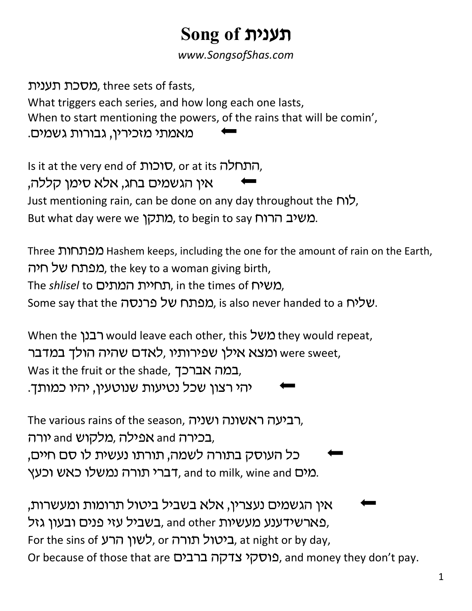## Song of

www.SongsofShas.com

מסכת תענית, three sets of fasts, What triggers each series, and how long each one lasts, When to start mentioning the powers, of the rains that will be comin', מאמתי מזכירין, גבורות גשמים.

Is it at the very end of התחלה, or at its ,התחלה אין הגשמים בחג, אלא סימן קללה, Just mentioning rain, can be done on any day throughout the  $\Box$ לו But what day were we מתקן. to begin to say המשיב הרוח.

Three Hashem keeps, including the one for the amount of rain on the Earth, מפתח של חיה, the key to a woman giving birth, The shlisel to תחיית המתים, in the times of , Some say that the כרנסה , is also never handed to a .שליח

When the משל would leave each other, this משל they would repeat, ,were sweet ומצא אילו שפירותיו ,לאדם שהיה הולד במדבר Was it the fruit or the shade, במה אברכך, יהי רצון שכל נטיעות שנוטעין, יהיו כמותך.

The various rains of the season, , בכירה and אפילה ,מלקוש and יורה, כל העוסק בתורה לשמה, תורתו נעשית לו סם חיים, מים, and to milk, wine and ברי תורה נמשלו כאש וכעץ.

אין הגשמים נעצרין, אלא בשביל ביטול תרומות ומעשרות, בשביל עזי פנים ובעון גזל, and other בשביל און פארשידענע, For the sins of לשון הרע , or היטול תורה, at night or by day, Or because of those that are כוסקי צדקה ברבים, and money they don't pay.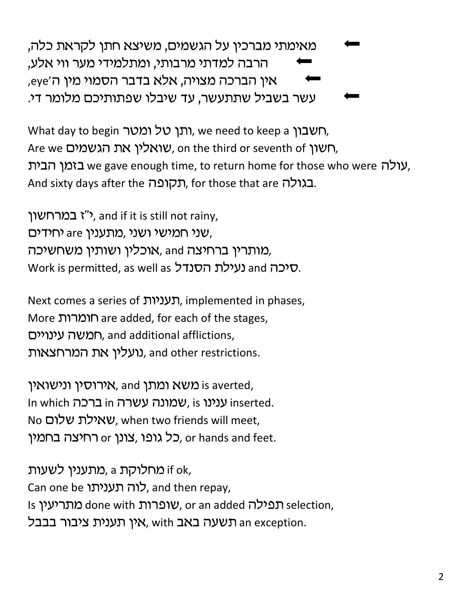מאימתי מברכין על הגשמים, משיצא חתן לקראת כלה, הרבה למדתי מרבותי, ומתלמידי מער ווי אלע, ,eye'n אין הברכה מצויה, אלא בדבר הסמוי מין ה׳eye, עשר בשביל שתתעשר, עד שיבלו שפתותיכם מלומר די.

What day to begin ותן טל ומטר, we need to keep a חשבון, Are we העימים, on the third or seventh of האיר, עולה we gave enough time, to return home for those who were ,עולה And sixty days after the תקופה, for those that are בגולה.

י'ז במרחשון, and if it is still not rainy, שני חמישי ושני, מתענין are יחידים, מותרין ברחיצה and ,אוכלין ושותין משחשיכה, Work is permitted, as well as עילת הסנדל.

Next comes a series of תעניות, implemented in phases, More חומרות are added, for each of the stages, חמשה עינויים, and additional afflictions, נועלין את המרחצאות. and other restrictions.

אירוסין ונישואין is averted, In which נעינו in שמונה עשרה in ברכה inserted. No שאילת שלום, when two friends will meet, כל גופו ,צונן or רחיצה בחמין, or hands and feet.

מתענין לשעות if ok, Can one be לוה תעניתו, and then repay, Is תפילה done with שופרות or an added מתריעין. Is selection, תשעה באב with אין תענית ציבור בבבל, with תשעה an exception.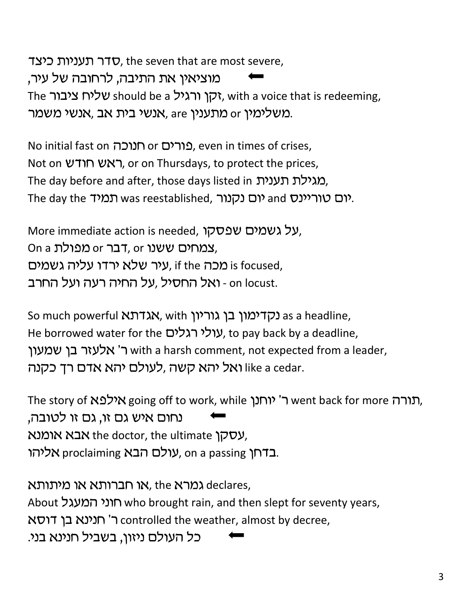ר תעניות כיצד, the seven that are most severe, מוציאין את התיבה, לרחובה של עיר, The שליח ציבור, with a voice that is redeeming, אנשי בית אב, אנשי משמר or .משלימין, are .

No initial fast on רווכה or פורים, even in times of crises, Not on ראש חודש, or on Thursdays, to protect the prices, The day before and after, those days listed in מגילת תענית, The day the יום טוריינס was reestablished, יום טוריינס.

More immediate action is needed, על גשמים שפסקו, On a צמחים ששנו or דבר, or כ*ופ*ולת, עיר שלא ירדו עליה גשמים, if the עיר is focused, .on locust - ואל החסיל, על החיה רעה ועל החרב

So much powerful **ואגדתא**, with נקדימון בן גוריון, as a headline, He borrowed water for the עולי רגלים, to pay back by a deadline, ר' אלעזר בן שמעון with a harsh comment, not expected from a leader, ואל יהא קשה ,לעולם יהא אדם רך כקנה like a cedar.

The story of דורה, going off to work, while ר' יוחנן, went back for more ה נחום איש גם זו, גם זו לטובה, אבא אומנא, the doctor, the ultimate ,עסקן בדחן on a passing עולם הבא proclaiming אליהו.

, או חברותא או מיתותא declares, About who brought rain, and then slept for seventy years, ר' חנינא בן דוסא controlled the weather, almost by decree,